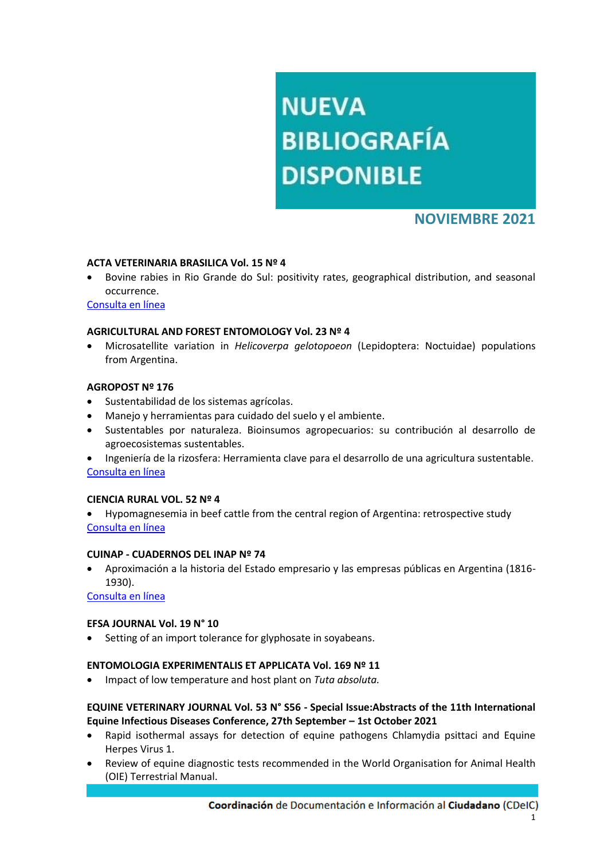# **NUEVA BIBLIOGRAFÍA DISPONIBLE**

# **NOVIEMBRE 2021**

## **ACTA VETERINARIA BRASILICA Vol. 15 Nº 4**

 Bovine rabies in Rio Grande do Sul: positivity rates, geographical distribution, and seasonal occurrence.

[Consulta en línea](https://periodicos.ufersa.edu.br/index.php/acta/article/view/10072)

#### **AGRICULTURAL AND FOREST ENTOMOLOGY Vol. 23 Nº 4**

 Microsatellite variation in *Helicoverpa gelotopoeon* (Lepidoptera: Noctuidae) populations from Argentina.

## **AGROPOST Nº 176**

- Sustentabilidad de los sistemas agrícolas.
- Manejo y herramientas para cuidado del suelo y el ambiente.
- Sustentables por naturaleza. Bioinsumos agropecuarios: su contribución al desarrollo de agroecosistemas sustentables.
- Ingeniería de la rizosfera: Herramienta clave para el desarrollo de una agricultura sustentable. [Consulta en línea](http://www.cpia.org.ar/agropost/2021)

#### **CIENCIA RURAL VOL. 52 Nº 4**

 Hypomagnesemia in beef cattle from the central region of Argentina: retrospective study [Consulta en línea](https://www.scielo.br/j/cr/a/kk8f9RpjvwBmpdSCTLzrGMN/?lang=en&format=pdf)

#### **CUINAP - CUADERNOS DEL INAP Nº 74**

 Aproximación a la historia del Estado empresario y las empresas públicas en Argentina (1816- 1930).

[Consulta en línea](https://publicaciones.inap.gob.ar/index.php/CUINAP)

# **EFSA JOURNAL Vol. 19 N° 10**

Setting of an import tolerance for glyphosate in soyabeans.

# **ENTOMOLOGIA EXPERIMENTALIS ET APPLICATA Vol. 169 Nº 11**

Impact of low temperature and host plant on *Tuta absoluta.*

# **EQUINE VETERINARY JOURNAL Vol. 53 N° S56 - Special Issue:Abstracts of the 11th International Equine Infectious Diseases Conference, 27th September – 1st October 2021**

- Rapid isothermal assays for detection of equine pathogens Chlamydia psittaci and Equine Herpes Virus 1.
- Review of equine diagnostic tests recommended in the World Organisation for Animal Health (OIE) Terrestrial Manual.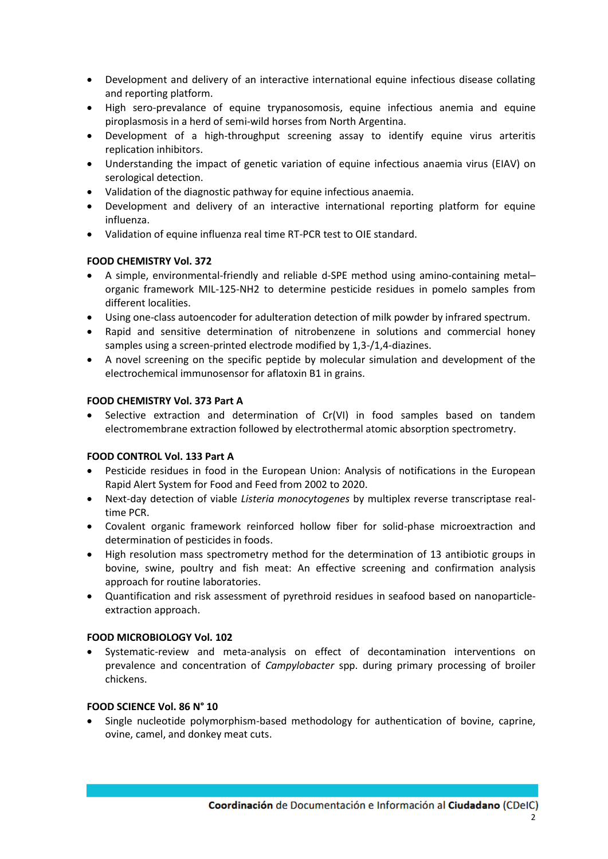- Development and delivery of an interactive international equine infectious disease collating and reporting platform.
- High sero-prevalance of equine trypanosomosis, equine infectious anemia and equine piroplasmosis in a herd of semi-wild horses from North Argentina.
- Development of a high-throughput screening assay to identify equine virus arteritis replication inhibitors.
- Understanding the impact of genetic variation of equine infectious anaemia virus (EIAV) on serological detection.
- Validation of the diagnostic pathway for equine infectious anaemia.
- Development and delivery of an interactive international reporting platform for equine influenza.
- Validation of equine influenza real time RT-PCR test to OIE standard.

# **FOOD CHEMISTRY Vol. 372**

- A simple, environmental-friendly and reliable d-SPE method using amino-containing metal– organic framework MIL-125-NH2 to determine pesticide residues in pomelo samples from different localities.
- Using one-class autoencoder for adulteration detection of milk powder by infrared spectrum.
- Rapid and sensitive determination of nitrobenzene in solutions and commercial honey samples using a screen-printed electrode modified by 1,3-/1,4-diazines.
- A novel screening on the specific peptide by molecular simulation and development of the electrochemical immunosensor for aflatoxin B1 in grains.

# **FOOD CHEMISTRY Vol. 373 Part A**

 Selective extraction and determination of Cr(VI) in food samples based on tandem electromembrane extraction followed by electrothermal atomic absorption spectrometry.

# **FOOD CONTROL Vol. 133 Part A**

- Pesticide residues in food in the European Union: Analysis of notifications in the European Rapid Alert System for Food and Feed from 2002 to 2020.
- Next-day detection of viable *Listeria monocytogenes* by multiplex reverse transcriptase realtime PCR.
- Covalent organic framework reinforced hollow fiber for solid-phase microextraction and determination of pesticides in foods.
- High resolution mass spectrometry method for the determination of 13 antibiotic groups in bovine, swine, poultry and fish meat: An effective screening and confirmation analysis approach for routine laboratories.
- Quantification and risk assessment of pyrethroid residues in seafood based on nanoparticleextraction approach.

# **FOOD MICROBIOLOGY Vol. 102**

 Systematic-review and meta-analysis on effect of decontamination interventions on prevalence and concentration of *Campylobacter* spp. during primary processing of broiler chickens.

# **FOOD SCIENCE Vol. 86 N° 10**

 Single nucleotide polymorphism-based methodology for authentication of bovine, caprine, ovine, camel, and donkey meat cuts.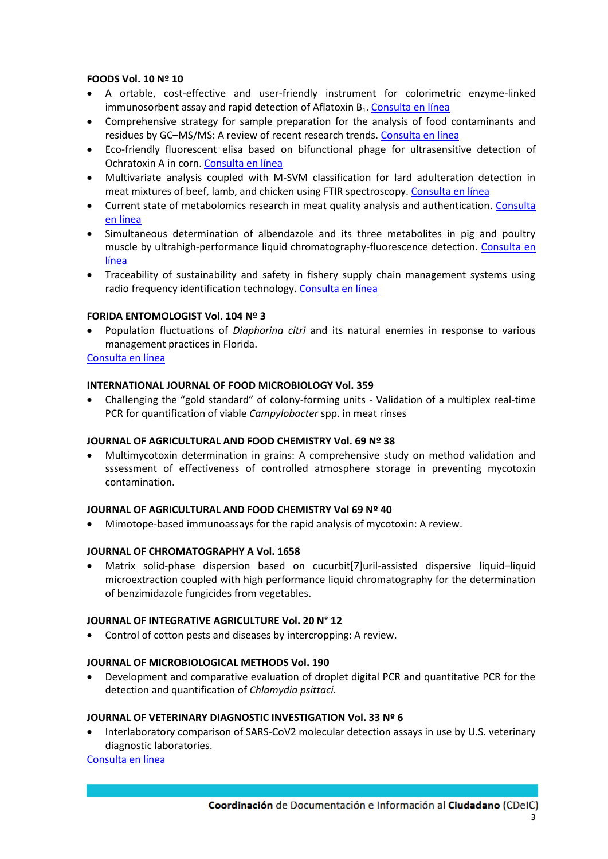## **FOODS Vol. 10 Nº 10**

- A ortable, cost-effective and user-friendly instrument for colorimetric enzyme-linked immunosorbent assay and rapid detection of Aflatoxin  $B_1$ . [Consulta en línea](https://www.mdpi.com/2304-8158/10/10/2483/htm)
- Comprehensive strategy for sample preparation for the analysis of food contaminants and residues by GC–MS/MS: A review of recent research trends. [Consulta en línea](https://www.mdpi.com/2304-8158/10/10/2473)
- Eco-friendly fluorescent elisa based on bifunctional phage for ultrasensitive detection of Ochratoxin A in corn. [Consulta en línea](https://www.mdpi.com/2304-8158/10/10/2429)
- Multivariate analysis coupled with M-SVM classification for lard adulteration detection in meat mixtures of beef, lamb, and chicken using FTIR spectroscopy. [Consulta en línea](https://www.mdpi.com/2304-8158/10/10/2405)
- Current state of metabolomics research in meat quality analysis and authentication. [Consulta](https://www.mdpi.com/2304-8158/10/10/2388)  [en línea](https://www.mdpi.com/2304-8158/10/10/2388)
- Simultaneous determination of albendazole and its three metabolites in pig and poultry muscle by ultrahigh-performance liquid chromatography-fluorescence detection. [Consulta en](https://www.mdpi.com/2304-8158/10/10/2350)  [línea](https://www.mdpi.com/2304-8158/10/10/2350)
- Traceability of sustainability and safety in fishery supply chain management systems using radio frequency identification technology. [Consulta en línea](https://www.mdpi.com/2304-8158/10/10/2265)

## **FORIDA ENTOMOLOGIST Vol. 104 Nº 3**

 Population fluctuations of *Diaphorina citri* and its natural enemies in response to various management practices in Florida.

[Consulta en línea](https://journals.flvc.org/flaent/article/view/128048)

## **INTERNATIONAL JOURNAL OF FOOD MICROBIOLOGY Vol. 359**

 Challenging the "gold standard" of colony-forming units - Validation of a multiplex real-time PCR for quantification of viable *Campylobacter* spp. in meat rinses

#### **JOURNAL OF AGRICULTURAL AND FOOD CHEMISTRY Vol. 69 Nº 38**

 Multimycotoxin determination in grains: A comprehensive study on method validation and sssessment of effectiveness of controlled atmosphere storage in preventing mycotoxin contamination.

#### **JOURNAL OF AGRICULTURAL AND FOOD CHEMISTRY Vol 69 Nº 40**

Mimotope-based immunoassays for the rapid analysis of mycotoxin: A review.

#### **JOURNAL OF CHROMATOGRAPHY A Vol. 1658**

 Matrix solid-phase dispersion based on cucurbit[7]uril-assisted dispersive liquid–liquid microextraction coupled with high performance liquid chromatography for the determination of benzimidazole fungicides from vegetables.

#### **JOURNAL OF INTEGRATIVE AGRICULTURE Vol. 20 N° 12**

Control of cotton pests and diseases by intercropping: A review.

#### **JOURNAL OF MICROBIOLOGICAL METHODS Vol. 190**

 Development and comparative evaluation of droplet digital PCR and quantitative PCR for the detection and quantification of *Chlamydia psittaci.*

#### **JOURNAL OF VETERINARY DIAGNOSTIC INVESTIGATION Vol. 33 Nº 6**

 Interlaboratory comparison of SARS-CoV2 molecular detection assays in use by U.S. veterinary diagnostic laboratories.

[Consulta en línea](https://journals.sagepub.com/doi/full/10.1177/10406387211029913)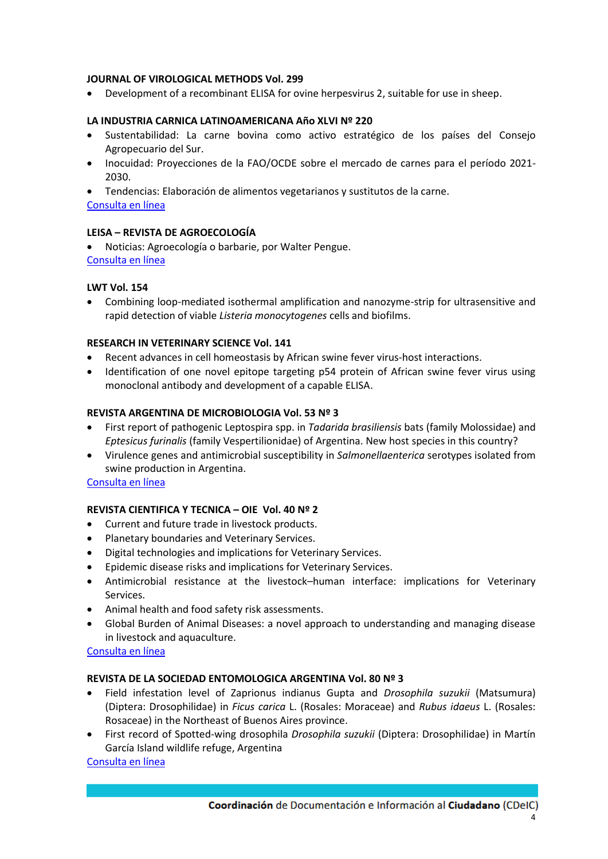## **JOURNAL OF VIROLOGICAL METHODS Vol. 299**

Development of a recombinant ELISA for ovine herpesvirus 2, suitable for use in sheep.

#### **LA INDUSTRIA CARNICA LATINOAMERICANA Año XLVI Nº 220**

- Sustentabilidad: La carne bovina como activo estratégico de los países del Consejo Agropecuario del Sur.
- Inocuidad: Proyecciones de la FAO/OCDE sobre el mercado de carnes para el período 2021- 2030.

 Tendencias: Elaboración de alimentos vegetarianos y sustitutos de la carne. [Consulta en línea](https://publitec.com/wp-content/uploads/LIC_220.pdf)

## **LEISA – REVISTA DE AGROECOLOGÍA**

 Noticias: Agroecología o barbarie, por Walter Pengue. [Consulta en línea](https://www.leisa-al.org/web/index.php/lasnoticias/biodiversidad/4486-agroecologia-o-barbarie)

## **LWT Vol. 154**

 Combining loop-mediated isothermal amplification and nanozyme-strip for ultrasensitive and rapid detection of viable *Listeria monocytogenes* cells and biofilms.

## **RESEARCH IN VETERINARY SCIENCE Vol. 141**

- Recent advances in cell homeostasis by African swine fever virus-host interactions.
- Identification of one novel epitope targeting p54 protein of African swine fever virus using monoclonal antibody and development of a capable ELISA.

## **REVISTA ARGENTINA DE MICROBIOLOGIA Vol. 53 Nº 3**

- First report of pathogenic Leptospira spp. in *Tadarida brasiliensis* bats (family Molossidae) and *Eptesicus furinalis* (family Vespertilionidae) of Argentina. New host species in this country?
- Virulence genes and antimicrobial susceptibility in *Salmonellaenterica* serotypes isolated from swine production in Argentina.

#### [Consulta en línea](https://www.elsevier.es/es-revista-revista-argentina-microbiologia-372-sumario-vol-53-num-3-S0325754121X00041)

# **REVISTA CIENTIFICA Y TECNICA – OIE Vol. 40 Nº 2**

- Current and future trade in livestock products.
- Planetary boundaries and Veterinary Services.
- Digital technologies and implications for Veterinary Services.
- Epidemic disease risks and implications for Veterinary Services.
- Antimicrobial resistance at the livestock–human interface: implications for Veterinary Services.
- Animal health and food safety risk assessments.
- Global Burden of Animal Diseases: a novel approach to understanding and managing disease in livestock and aquaculture.

#### [Consulta en línea](https://doc.oie.int/dyn/portal/index.xhtml?page=alo&aloId=41572&req=21&cid=12d6b229-28da-434b-81da-259b786dbffb)

#### **REVISTA DE LA SOCIEDAD ENTOMOLOGICA ARGENTINA Vol. 80 Nº 3**

- Field infestation level of Zaprionus indianus Gupta and *Drosophila suzukii* (Matsumura) (Diptera: Drosophilidae) in *Ficus carica* L. (Rosales: Moraceae) and *Rubus idaeus* L. (Rosales: Rosaceae) in the Northeast of Buenos Aires province.
- First record of Spotted-wing drosophila *Drosophila suzukii* (Diptera: Drosophilidae) in Martín García Island wildlife refuge, Argentina

#### [Consulta en línea](https://www.biotaxa.org/RSEA/issue/view/9698)